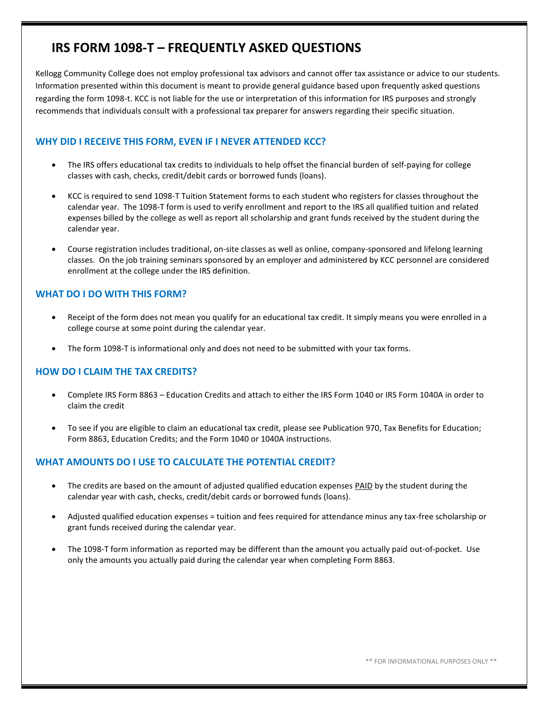# **IRS FORM 1098-T – FREQUENTLY ASKED QUESTIONS**

Kellogg Community College does not employ professional tax advisors and cannot offer tax assistance or advice to our students. Information presented within this document is meant to provide general guidance based upon frequently asked questions regarding the form 1098-t. KCC is not liable for the use or interpretation of this information for IRS purposes and strongly recommends that individuals consult with a professional tax preparer for answers regarding their specific situation.

## **WHY DID I RECEIVE THIS FORM, EVEN IF I NEVER ATTENDED KCC?**

- The IRS offers educational tax credits to individuals to help offset the financial burden of self-paying for college classes with cash, checks, credit/debit cards or borrowed funds (loans).
- KCC is required to send 1098-T Tuition Statement forms to each student who registers for classes throughout the calendar year. The 1098-T form is used to verify enrollment and report to the IRS all qualified tuition and related expenses billed by the college as well as report all scholarship and grant funds received by the student during the calendar year.
- Course registration includes traditional, on-site classes as well as online, company-sponsored and lifelong learning classes. On the job training seminars sponsored by an employer and administered by KCC personnel are considered enrollment at the college under the IRS definition.

# **WHAT DO I DO WITH THIS FORM?**

- Receipt of the form does not mean you qualify for an educational tax credit. It simply means you were enrolled in a college course at some point during the calendar year.
- The form 1098-T is informational only and does not need to be submitted with your tax forms.

# **HOW DO I CLAIM THE TAX CREDITS?**

- Complete IRS Form 8863 Education Credits and attach to either the IRS Form 1040 or IRS Form 1040A in order to claim the credit
- To see if you are eligible to claim an educational tax credit, please see Publication 970, Tax Benefits for Education; Form 8863, Education Credits; and the Form 1040 or 1040A instructions.

### **WHAT AMOUNTS DO I USE TO CALCULATE THE POTENTIAL CREDIT?**

- The credits are based on the amount of adjusted qualified education expenses PAID by the student during the calendar year with cash, checks, credit/debit cards or borrowed funds (loans).
- Adjusted qualified education expenses = tuition and fees required for attendance minus any tax-free scholarship or grant funds received during the calendar year.
- The 1098-T form information as reported may be different than the amount you actually paid out-of-pocket. Use only the amounts you actually paid during the calendar year when completing Form 8863.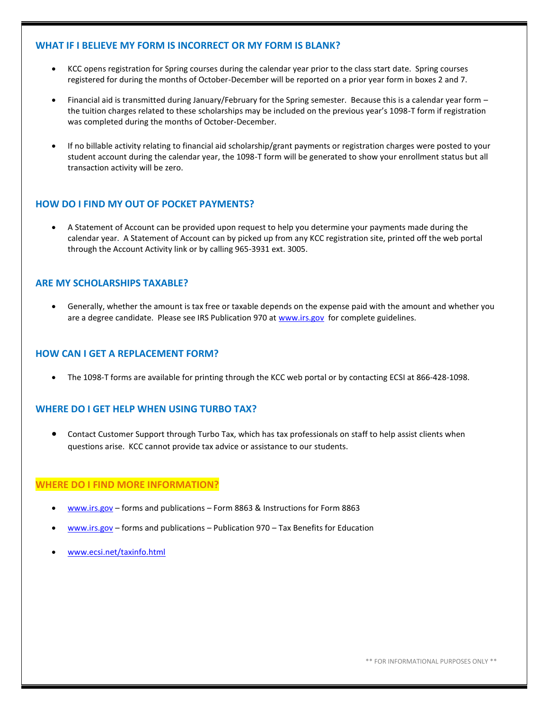#### **WHAT IF I BELIEVE MY FORM IS INCORRECT OR MY FORM IS BLANK?**

- KCC opens registration for Spring courses during the calendar year prior to the class start date. Spring courses registered for during the months of October-December will be reported on a prior year form in boxes 2 and 7.
- Financial aid is transmitted during January/February for the Spring semester. Because this is a calendar year form the tuition charges related to these scholarships may be included on the previous year's 1098-T form if registration was completed during the months of October-December.
- If no billable activity relating to financial aid scholarship/grant payments or registration charges were posted to your student account during the calendar year, the 1098-T form will be generated to show your enrollment status but all transaction activity will be zero.

## **HOW DO I FIND MY OUT OF POCKET PAYMENTS?**

 A Statement of Account can be provided upon request to help you determine your payments made during the calendar year. A Statement of Account can by picked up from any KCC registration site, printed off the web portal through the Account Activity link or by calling 965-3931 ext. 3005.

### **ARE MY SCHOLARSHIPS TAXABLE?**

 Generally, whether the amount is tax free or taxable depends on the expense paid with the amount and whether you are a degree candidate. Please see IRS Publication 970 at [www.irs.gov](http://www.irs.gov/) for complete guidelines.

#### **HOW CAN I GET A REPLACEMENT FORM?**

The 1098-T forms are available for printing through the KCC web portal or by contacting ECSI at 866-428-1098.

### **WHERE DO I GET HELP WHEN USING TURBO TAX?**

 Contact Customer Support through Turbo Tax, which has tax professionals on staff to help assist clients when questions arise. KCC cannot provide tax advice or assistance to our students.

#### **WHERE DO I FIND MORE INFORMATION?**

- [www.irs.gov](http://www.irs.gov/) forms and publications Form 8863 & Instructions for Form 8863
- [www.irs.gov](http://www.irs.gov/) forms and publications Publication 970 Tax Benefits for Education
- [www.ecsi.net/taxinfo.html](http://www.ecsi.net/taxinfo.html)

\*\* FOR INFORMATIONAL PURPOSES ONLY \*\*